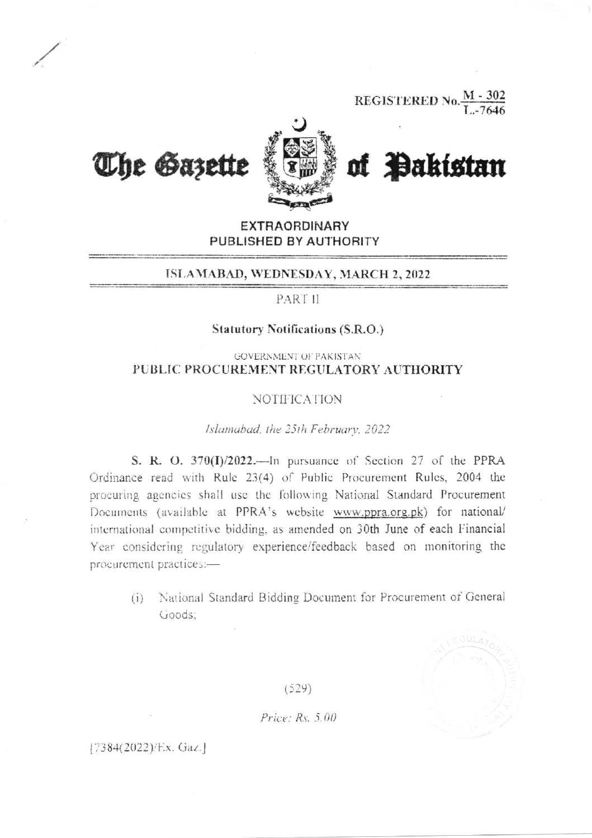**REGISTERED No.**  $\frac{M-302}{T-2646}$ 



**EXTRAORDINARY** PUBLISHED BY AUTHORITY

#### ISLAMABAD, WEDNESDAY, MARCH 2, 2022

PART II

### **Statutory Notifications (S.R.O.)**

### **GOVERNMENT OF PAKISTAN** PUBLIC PROCUREMENT REGULATORY AUTHORITY

### **NOTIFICATION**

#### Islamabad, the 25th February, 2022

S. R. O.  $370(I)/2022$ . --In pursuance of Section 27 of the PPRA Ordinance read with Rule 23(4) of Public Procurement Rules, 2004 the procuring agencies shall use the following National Standard Procurement Documents (available at PPRA's website www.ppra.org.pk) for national/ international competitive bidding, as amended on 30th June of each Financial Year considering regulatory experience/feedback based on monitoring the procurement practices:-

National Standard Bidding Document for Procurement of General  $(i)$ Goods:



 $(529)$ 

Price:  $Rs. 5.00$ 

 $[7384(2022)/Ex.$  Gaz.]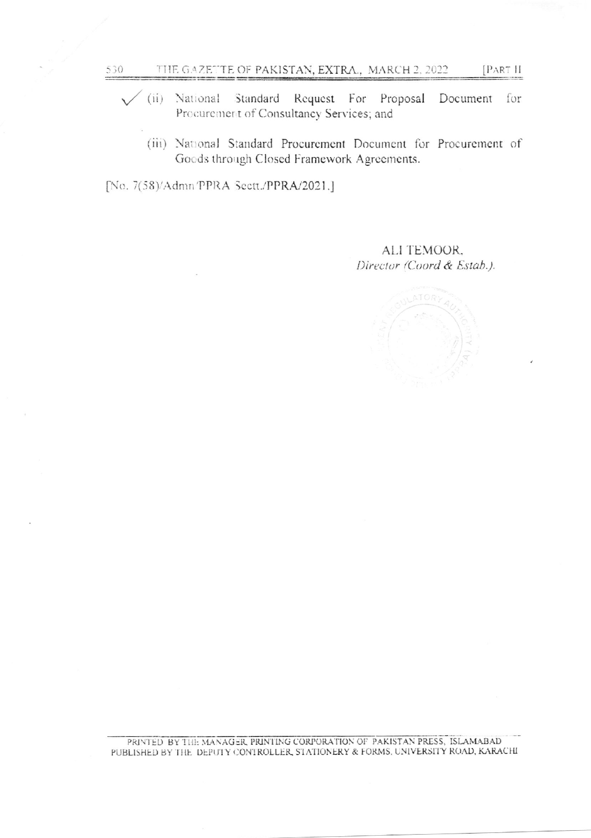- (ii) National Standard Request For Proposal Document for  $\checkmark$ Procurement of Consultancy Services; and
	- (iii) National Standard Procurement Document for Procurement of Goods through Closed Framework Agreements.

[No. 7(58)/Admn PPRA Sectt./PPRA/2021.]

ALI TEMOOR. Director (Coord & Estab.).

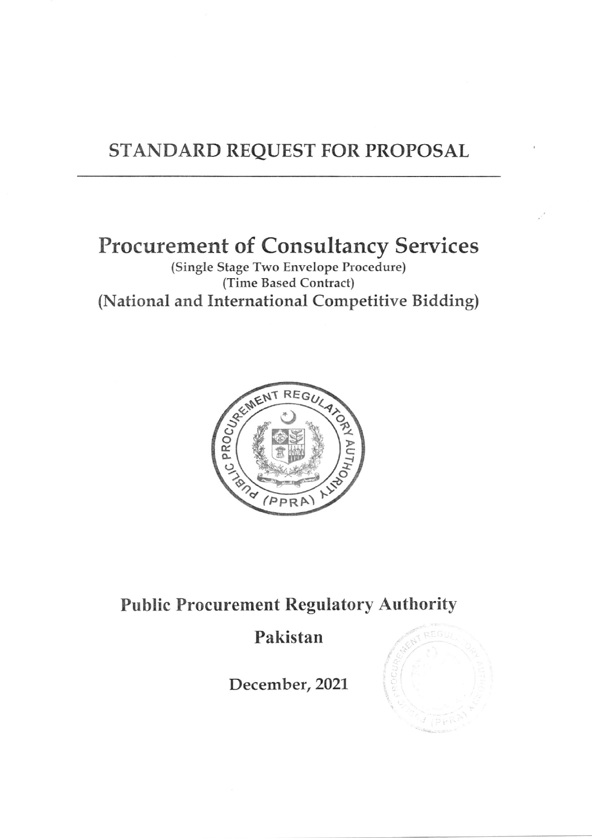## STANDARD REQUEST FOR PROPOSAL

# Procurement of Consultancy Services

(Single Stage Two Envelope Procedure) (Time Based Contract) (National and International Competitive Bidding)



### Public Procurement Regulatory Authority

## Pakistan

December, 2021